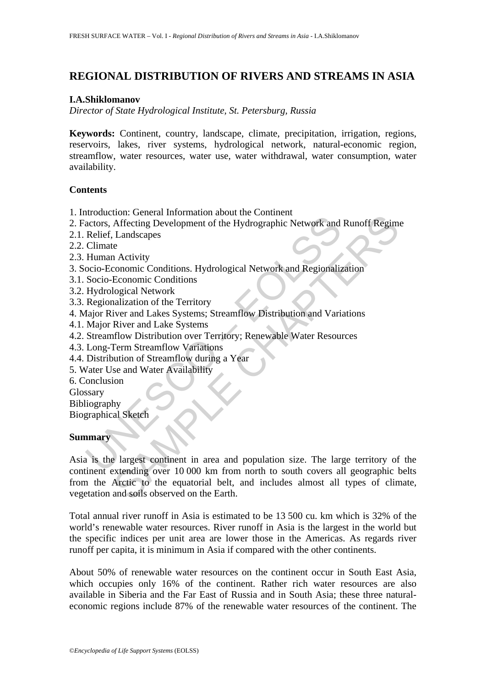# **REGIONAL DISTRIBUTION OF RIVERS AND STREAMS IN ASIA**

#### **I.A.Shiklomanov**

*Director of State Hydrological Institute, St. Petersburg, Russia* 

**Keywords:** Continent, country, landscape, climate, precipitation, irrigation, regions, reservoirs, lakes, river systems, hydrological network, natural-economic region, streamflow, water resources, water use, water withdrawal, water consumption, water availability.

### **Contents**

- 1. Introduction: General Information about the Continent
- 2. Factors, Affecting Development of the Hydrographic Network and Runoff Regime
- 2.1. Relief, Landscapes
- 2.2. Climate
- 2.3. Human Activity
- 3. Socio-Economic Conditions. Hydrological Network and Regionalization
- 3.1. Socio-Economic Conditions
- 3.2. Hydrological Network
- 3.3. Regionalization of the Territory
- 4. Major River and Lakes Systems; Streamflow Distribution and Variations
- 4.1. Major River and Lake Systems
- 4.2. Streamflow Distribution over Territory; Renewable Water Resources
- 4.3. Long-Term Streamflow Variations
- 4.4. Distribution of Streamflow during a Year
- 5. Water Use and Water Availability
- 6. Conclusion
- Glossary
- Bibliography

Biographical Sketch

### **Summary**

mostation: Othera information about Hydrographic Network and<br>Relief, Landscapes<br>Climate<br>Human Activity<br>Coco-Economic Conditions. Hydrological Network and Regionalization<br>Socio-Economic Conditions<br>Bydrological Network<br>Regio more distinguished and the community Network and Runoff Regiment Affecting Development of the Hydrographic Network and Runoff Regiment Landscapes<br>
e<br>
conomic Conditions. Hydrological Network and Regionalization<br>
Economic C Asia is the largest continent in area and population size. The large territory of the continent extending over 10 000 km from north to south covers all geographic belts from the Arctic to the equatorial belt, and includes almost all types of climate, vegetation and soils observed on the Earth.

Total annual river runoff in Asia is estimated to be 13 500 cu. km which is 32% of the world's renewable water resources. River runoff in Asia is the largest in the world but the specific indices per unit area are lower those in the Americas. As regards river runoff per capita, it is minimum in Asia if compared with the other continents.

About 50% of renewable water resources on the continent occur in South East Asia, which occupies only 16% of the continent. Rather rich water resources are also available in Siberia and the Far East of Russia and in South Asia; these three naturaleconomic regions include 87% of the renewable water resources of the continent. The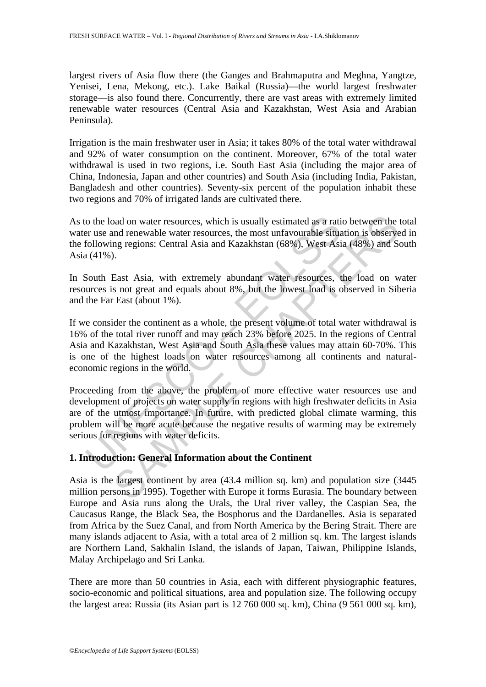largest rivers of Asia flow there (the Ganges and Brahmaputra and Meghna, Yangtze, Yenisei, Lena, Mekong, etc.). Lake Baikal (Russia)—the world largest freshwater storage—is also found there. Concurrently, there are vast areas with extremely limited renewable water resources (Central Asia and Kazakhstan, West Asia and Arabian Peninsula).

Irrigation is the main freshwater user in Asia; it takes 80% of the total water withdrawal and 92% of water consumption on the continent. Moreover, 67% of the total water withdrawal is used in two regions, i.e. South East Asia (including the major area of China, Indonesia, Japan and other countries) and South Asia (including India, Pakistan, Bangladesh and other countries). Seventy-six percent of the population inhabit these two regions and 70% of irrigated lands are cultivated there.

As to the load on water resources, which is usually estimated as a ratio between the total water use and renewable water resources, the most unfavourable situation is observed in the following regions: Central Asia and Kazakhstan (68%), West Asia (48%) and South Asia (41%).

In South East Asia, with extremely abundant water resources, the load on water resources is not great and equals about 8%, but the lowest load is observed in Siberia and the Far East (about 1%).

o the load on water resources, which is usually estimated as a ration and renewable water resources, the most unfavourable situation following regions: Central Asia and Kazakhstan (68%), West Asi (41%).<br>South East Asia, wi ond on water resources, which is usually estimated as a ratio between the und renewable water resources, the most unfavourable situation is observed und renewable water resources, the most unfavourable situation is observe If we consider the continent as a whole, the present volume of total water withdrawal is 16% of the total river runoff and may reach 23% before 2025. In the regions of Central Asia and Kazakhstan, West Asia and South Asia these values may attain 60-70%. This is one of the highest loads on water resources among all continents and naturaleconomic regions in the world.

Proceeding from the above, the problem of more effective water resources use and development of projects on water supply in regions with high freshwater deficits in Asia are of the utmost importance. In future, with predicted global climate warming, this problem will be more acute because the negative results of warming may be extremely serious for regions with water deficits.

## **1. Introduction: General Information about the Continent**

Asia is the largest continent by area (43.4 million sq. km) and population size (3445 million persons in 1995). Together with Europe it forms Eurasia. The boundary between Europe and Asia runs along the Urals, the Ural river valley, the Caspian Sea, the Caucasus Range, the Black Sea, the Bosphorus and the Dardanelles. Asia is separated from Africa by the Suez Сanal, and from North America by the Bering Strait. There are many islands adjacent to Asia, with a total area of 2 million sq. km. The largest islands are Northern Land, Sakhalin Island, the islands of Japan, Taiwan, Philippine Islands, Malay Archipelago and Sri Lanka.

There are more than 50 countries in Asia, each with different physiographic features, socio-economic and political situations, area and population size. The following occupy the largest area: Russia (its Asian part is 12 760 000 sq. km), China (9 561 000 sq. km),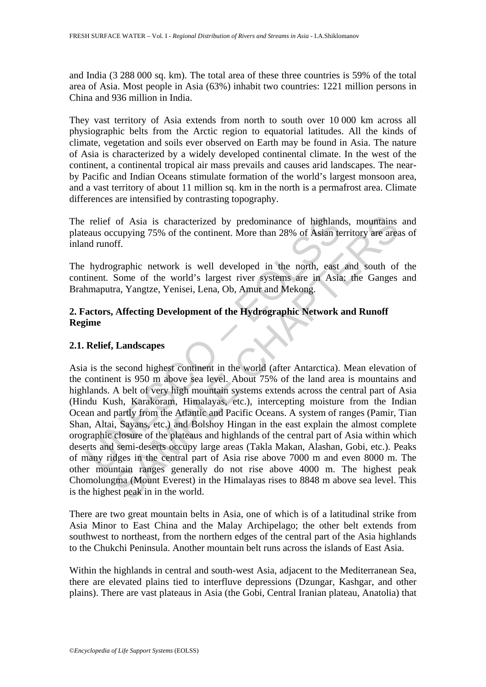and India (3 288 000 sq. km). The total area of these three countries is 59% of the total area of Asia. Most people in Asia (63%) inhabit two countries: 1221 million persons in China and 936 million in India.

They vast territory of Asia extends from north to south over 10 000 km across all physiographic belts from the Arctic region to equatorial latitudes. All the kinds of climate, vegetation and soils ever observed on Earth may be found in Asia. The nature of Asia is characterized by a widely developed continental climate. In the west of the continent, a continental tropical air mass prevails and causes arid landscapes. The nearby Pacific and Indian Oceans stimulate formation of the world's largest monsoon area, and a vast territory of about 11 million sq. km in the north is a permafrost area. Climate differences are intensified by contrasting topography.

The relief of Asia is characterized by predominance of highlands, mountains and plateaus occupying 75% of the continent. More than 28% of Asian territory are areas of inland runoff.

The hydrographic network is well developed in the north, east and south of the continent. Some of the world's largest river systems are in Asia: the Ganges and Brahmaputra, Yangtze, Yenisei, Lena, Ob, Amur and Mekong.

## **2. Factors, Affecting Development of the Hydrographic Network and Runoff Regime**

# **2.1. Relief, Landscapes**

relief of Asia is characterized by predominance of highland<br>eaus occupying 75% of the continent. More than 28% of Asian te<br>nd runoff.<br>
hydrographic network is well developed in the north, east<br>
intent. Some of the world's of Asia is characterized by predominance of highlands, mountains<br>ccupying 75% of the continent. More than 28% of Asian territory are area<br>ff.<br>ff.<br>graphic network is well developed in the north, east and south of<br>Some of th Asia is the second highest continent in the world (after Antarctica). Mean elevation of the continent is 950 m above sea level. About 75% of the land area is mountains and highlands. A belt of very high mountain systems extends across the central part of Asia (Hindu Kush, Karakoram, Himalayas, etc.), intercepting moisture from the Indian Ocean and partly from the Atlantic and Pacific Oceans. A system of ranges (Pamir, Tian Shan, Altai, Sayans, etc.) and Bolshoy Hingan in the east explain the almost complete orographic closure of the plateaus and highlands of the central part of Asia within which deserts and semi-deserts occupy large areas (Takla Makan, Alashan, Gobi, etc.). Peaks of many ridges in the central part of Asia rise above 7000 m and even 8000 m. The other mountain ranges generally do not rise above 4000 m. The highest peak Chomolungma (Mount Everest) in the Himalayas rises to 8848 m above sea level. This is the highest peak in in the world.

There are two great mountain belts in Asia, one of which is of a latitudinal strike from Asia Minor to East China and the Malay Archipelago; the other belt extends from southwest to northeast, from the northern edges of the central part of the Asia highlands to the Chukchi Peninsula. Another mountain belt runs across the islands of East Asia.

Within the highlands in central and south-west Asia, adjacent to the Mediterranean Sea, there are elevated plains tied to interfluve depressions (Dzungar, Kashgar, and other plains). There are vast plateaus in Asia (the Gobi, Central Iranian plateau, Anatolia) that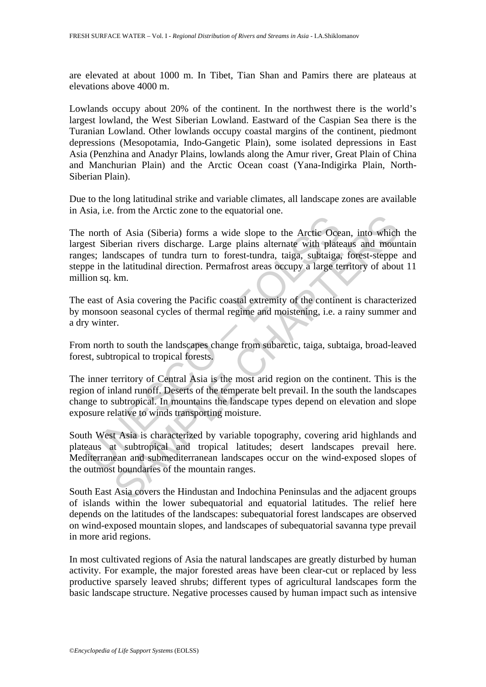are elevated at about 1000 m. In Tibet, Tian Shan and Pamirs there are plateaus at elevations above 4000 m.

Lowlands occupy about 20% of the continent. In the northwest there is the world's largest lowland, the West Siberian Lowland. Eastward of the Caspian Sea there is the Turanian Lowland. Other lowlands occupy coastal margins of the continent, piedmont depressions (Mesopotamia, Indo-Gangetic Plain), some isolated depressions in East Asia (Penzhina and Anadyr Plains, lowlands along the Amur river, Great Plain of China and Manchurian Plain) and the Arctic Ocean coast (Yana-Indigirka Plain, North-Siberian Plain).

Due to the long latitudinal strike and variable climates, all landscape zones are available in Asia, i.e. from the Arctic zone to the equatorial one.

north of Asia (Siberia) forms a vide slope to the Arctic Ocess Siberian rivers discharge. Large plains alternate with plates; landscapes of tundra turn to forest-tundra, taiga, subtaiga, pe in the latitudinal direction. Pe The Matter Coeal, into which<br>and Sischarge. Large plains alternate with plateaus and mountains are rinn rivers discharge. Large plains alternate with plateaus and mountain<br>discapes of tundra turn to forest-tundra, taiga, s The north of Asia (Siberia) forms a wide slope to the Arctic Ocean, into which the largest Siberian rivers discharge. Large plains alternate with plateaus and mountain ranges; landscapes of tundra turn to forest-tundra, taiga, subtaiga, forest-steppe and steppe in the latitudinal direction. Permafrost areas occupy a large territory of about 11 million sq. km.

The east of Asia covering the Pacific coastal extremity of the continent is characterized by monsoon seasonal cycles of thermal regime and moistening, i.e. a rainy summer and a dry winter.

From north to south the landscapes change from subarctic, taiga, subtaiga, broad-leaved forest, subtropical to tropical forests.

The inner territory of Central Asia is the most arid region on the continent. This is the region of inland runoff. Deserts of the temperate belt prevail. In the south the landscapes change to subtropical. In mountains the landscape types depend on elevation and slope exposure relative to winds transporting moisture.

South West Asia is characterized by variable topography, covering arid highlands and plateaus at subtropical and tropical latitudes; desert landscapes prevail here. Mediterranean and submediterranean landscapes occur on the wind-exposed slopes of the outmost boundaries of the mountain ranges.

South East Asia covers the Hindustan and Indochina Peninsulas and the adjacent groups of islands within the lower subequatorial and equatorial latitudes. The relief here depends on the latitudes of the landscapes: subequatorial forest landscapes are observed on wind-exposed mountain slopes, and landscapes of subequatorial savanna type prevail in more arid regions.

In most cultivated regions of Asia the natural landscapes are greatly disturbed by human activity. For example, the major forested areas have been clear-cut or replaced by less productive sparsely leaved shrubs; different types of agricultural landscapes form the basic landscape structure. Negative processes caused by human impact such as intensive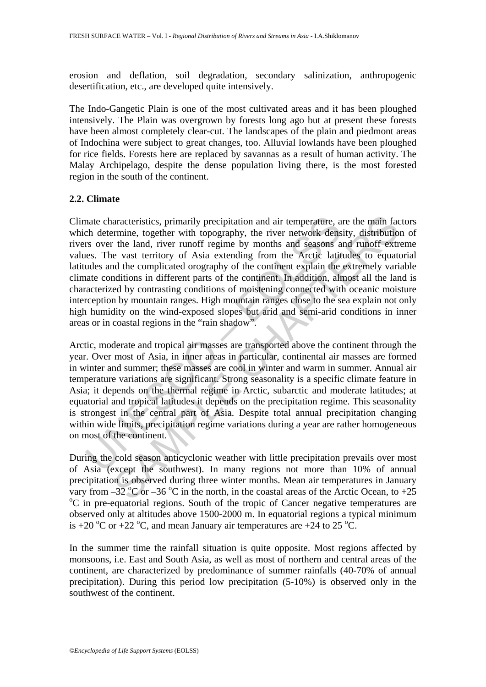erosion and deflation, soil degradation, secondary salinization, anthropogenic desertification, etc., are developed quite intensively.

The Indo-Gangetic Plain is one of the most cultivated areas and it has been ploughed intensively. The Plain was overgrown by forests long ago but at present these forests have been almost completely clear-cut. The landscapes of the plain and piedmont areas of Indochina were subject to great changes, too. Alluvial lowlands have been ploughed for rice fields. Forests here are replaced by savannas as a result of human activity. The Malay Archipelago, despite the dense population living there, is the most forested region in the south of the continent.

### **2.2. Climate**

mate characteristics, primarily precipitation and air temperature, a<br>ch determine, together with topography, the river network dens<br>rs over the land, river runoff regime by months and seasons a<br>es. The vast territory of As aracteristics, primarily precipitation and air temperature, are the main factomine, together with topography, the river network density, distribution the land, river into the capar by months and seasons and rundof exter d Climate characteristics, primarily precipitation and air temperature, are the main factors which determine, together with topography, the river network density, distribution of rivers over the land, river runoff regime by months and seasons and runoff extreme values. The vast territory of Asia extending from the Arctic latitudes to equatorial latitudes and the complicated orography of the continent explain the extremely variable climate conditions in different parts of the continent. In addition, almost all the land is characterized by contrasting conditions of moistening connected with oceanic moisture interception by mountain ranges. High mountain ranges close to the sea explain not only high humidity on the wind-exposed slopes but arid and semi-arid conditions in inner areas or in coastal regions in the "rain shadow".

Arctic, moderate and tropical air masses are transported above the continent through the year. Over most of Asia, in inner areas in particular, continental air masses are formed in winter and summer; these masses are cool in winter and warm in summer. Annual air temperature variations are significant. Strong seasonality is a specific climate feature in Asia; it depends on the thermal regime in Arctic, subarctic and moderate latitudes; at equatorial and tropical latitudes it depends on the precipitation regime. This seasonality is strongest in the central part of Asia. Despite total annual precipitation changing within wide limits, precipitation regime variations during a year are rather homogeneous on most of the continent.

During the cold season anticyclonic weather with little precipitation prevails over most of Asia (except the southwest). In many regions not more than 10% of annual precipitation is observed during three winter months. Mean air temperatures in January vary from  $-32 \degree C$  or  $-36 \degree C$  in the north, in the coastal areas of the Arctic Ocean, to  $+25 \degree C$  in the sequence South of the tropic of Capear positive temperatures are <sup>o</sup>C in pre-equatorial regions. South of the tropic of Cancer negative temperatures are observed only at altitudes above 1500-2000 m. In equatorial regions a typical minimum is +20 °C or +22 °C, and mean January air temperatures are +24 to 25 °C.

In the summer time the rainfall situation is quite opposite. Most regions affected by monsoons, i.e. East and South Asia, as well as most of northern and central areas of the continent, are characterized by predominance of summer rainfalls (40-70% of annual precipitation). During this period low precipitation (5-10%) is observed only in the southwest of the continent.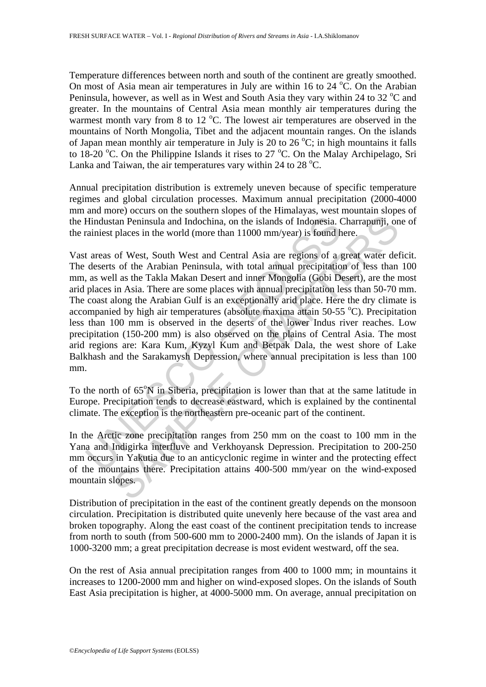Temperature differences between north and south of the continent are greatly smoothed. On most of Asia mean air temperatures in July are within 16 to 24  $^{\circ}$ C. On the Arabian Peninsula, however, as well as in West and South Asia they vary within 24 to 32  $^{\circ}$ C and greater. In the mountains of Central Asia mean monthly air temperatures during the warmest month vary from  $8$  to  $12^{\circ}$ C. The lowest air temperatures are observed in the mountains of North Mongolia, Tibet and the adjacent mountain ranges. On the islands of Japan mean monthly air temperature in July is 20 to 26  $^{\circ}$ C; in high mountains it falls to 18-20 °C. On the Philippine Islands it rises to 27 °C. On the Malay Archipelago, Sri Lanka and Taiwan, the air temperatures vary within 24 to 28  $^{\circ}$ C.

Annual precipitation distribution is extremely uneven because of specific temperature regimes and global circulation processes. Maximum annual precipitation (2000-4000 mm and more) occurs on the southern slopes of the Himalayas, west mountain slopes of the Hindustan Peninsula and Indochina, on the islands of Indonesia. Charrapunji, one of the rainiest places in the world (more than 11000 mm/year) is found here.

Hindustan Peninsula and Indochina, on the islands of Indonesia. Crainiest places in the world (more than 11000 mm/year) is found h<br>t areas of West, South West and Central Asia are regions of a d<br>deserts of the Arabian Pen tan Peninsula and Indochina, on the islands of Indonesia. Charrapunji, on places in the world (more than 11000 mm/year) is found here.<br>
of West, South West and Central Asia are regions of a great water dels<br>
of West, South Vast areas of West, South West and Central Asia are regions of a great water deficit. The deserts of the Arabian Peninsula, with total annual precipitation of less than 100 mm, as well as the Takla Makan Desert and inner Mongolia (Gobi Desert), are the most arid places in Asia. There are some places with annual precipitation less than 50-70 mm. The coast along the Arabian Gulf is an exceptionally arid place. Here the dry climate is accompanied by high air temperatures (absolute maxima attain 50-55  $^{\circ}$ C). Precipitation less than 100 mm is observed in the deserts of the lower Indus river reaches. Low precipitation (150-200 mm) is also observed on the plains of Central Asia. The most arid regions are: Kara Kum, Kyzyl Kum and Betpak Dala, the west shore of Lake Balkhash and the Sarakamysh Depression, where annual precipitation is less than 100 mm.

To the north of 65°N in Siberia, precipitation is lower than that at the same latitude in Europe. Precipitation tends to decrease eastward, which is explained by the continental climate. The exception is the northeastern pre-oceanic part of the continent.

In the Arctic zone precipitation ranges from 250 mm on the coast to 100 mm in the Yana and Indigirka interfluve and Verkhoyansk Depression. Precipitation to 200-250 mm occurs in Yakutia due to an anticyclonic regime in winter and the protecting effect of the mountains there. Precipitation attains 400-500 mm/year on the wind-exposed mountain slopes.

Distribution of precipitation in the east of the continent greatly depends on the monsoon circulation. Precipitation is distributed quite unevenly here because of the vast area and broken topography. Along the east coast of the continent precipitation tends to increase from north to south (from 500-600 mm to 2000-2400 mm). On the islands of Japan it is 1000-3200 mm; a great precipitation decrease is most evident westward, off the sea.

On the rest of Asia annual precipitation ranges from 400 to 1000 mm; in mountains it increases to 1200-2000 mm and higher on wind-exposed slopes. On the islands of South East Asia precipitation is higher, at 4000-5000 mm. On average, annual precipitation on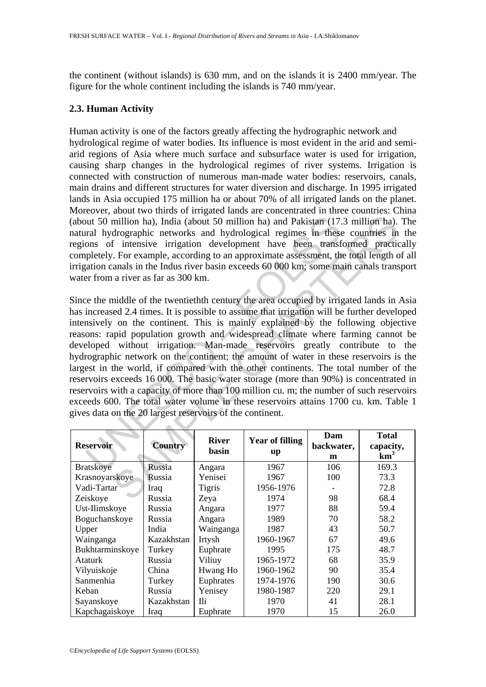the continent (without islands) is 630 mm, and on the islands it is 2400 mm/year. The figure for the whole continent including the islands is 740 mm/year.

## **2.3. Human Activity**

Human activity is one of the factors greatly affecting the hydrographic network and hydrological regime of water bodies. Its influence is most evident in the arid and semiarid regions of Asia where much surface and subsurface water is used for irrigation, causing sharp changes in the hydrological regimes of river systems. Irrigation is connected with construction of numerous man-made water bodies: reservoirs, canals, main drains and different structures for water diversion and discharge. In 1995 irrigated lands in Asia occupied 175 million ha or about 70% of all irrigated lands on the planet. Moreover, about two thirds of irrigated lands are concentrated in three countries: China (about 50 million ha), India (about 50 million ha) and Pakistan (17.3 million ha). The natural hydrographic networks and hydrological regimes in these countries in the regions of intensive irrigation development have been transformed practically completely. For example, according to an approximate assessment, the total length of all irrigation canals in the Indus river basin exceeds 60 000 km; some main canals transport water from a river as far as 300 km.

by the solution halo and Pakistan (17.<br>
The solution halo and Pakistan (17.<br>
The rad hydrographic networks and hydrological regimes in these<br>
ons of intensive irrigation development have been transf<br>
pletely. For example, million ha), India (about 50 million ha) and Pakistan (17.3 million ha)<br>
drographic networks and hydrological regimes in these countries in<br>
drographic networks and hydrological regimes in these countries in<br>
the function Since the middle of the twentiethth century the area occupied by irrigated lands in Asia has increased 2.4 times. It is possible to assume that irrigation will be further developed intensively on the continent. This is mainly explained by the following objective reasons: rapid population growth and widespread climate where farming cannot be developed without irrigation. Man-made reservoirs greatly contribute to the hydrographic network on the continent; the amount of water in these reservoirs is the largest in the world, if compared with the other continents. The total number of the reservoirs exceeds 16 000. The basic water storage (more than 90%) is concentrated in reservoirs with a capacity of more than 100 million cu. m; the number of such reservoirs exceeds 600. The total water volume in these reservoirs attains 1700 cu. km. Table 1 gives data on the 20 largest reservoirs of the continent.

| <b>Reservoir</b> | <b>Country</b> | <b>River</b><br>basin | <b>Year of filling</b><br>up | Dam<br>backwater,<br>m | <b>Total</b><br>capacity,<br>km <sup>3</sup> |
|------------------|----------------|-----------------------|------------------------------|------------------------|----------------------------------------------|
| <b>Bratskoye</b> | Russia         | Angara                | 1967                         | 106                    | 169.3                                        |
| Krasnoyarskoye   | Russia         | Yenisei               | 1967                         | 100                    | 73.3                                         |
| Vadi-Tartar      | Iraq           | <b>Tigris</b>         | 1956-1976                    |                        | 72.8                                         |
| Zeiskoye         | Russia         | Zeya                  | 1974                         | 98                     | 68.4                                         |
| Ust-Ilimskoye    | Russia         | Angara                | 1977                         | 88                     | 59.4                                         |
| Boguchanskoye    | Russia         | Angara                | 1989                         | 70                     | 58.2                                         |
| Upper            | India          | Wainganga             | 1987                         | 43                     | 50.7                                         |
| Wainganga        | Kazakhstan     | Irtysh                | 1960-1967                    | 67                     | 49.6                                         |
| Bukhtarminskoye  | Turkey         | Euphrate              | 1995                         | 175                    | 48.7                                         |
| <b>Ataturk</b>   | Russia         | Viliuy                | 1965-1972                    | 68                     | 35.9                                         |
| Vilyuiskoje      | China          | Hwang Ho              | 1960-1962                    | 90                     | 35.4                                         |
| Sanmenhia        | Turkey         | Euphrates             | 1974-1976                    | 190                    | 30.6                                         |
| Keban            | Russia         | Yenisey               | 1980-1987                    | 220                    | 29.1                                         |
| Sayanskoye       | Kazakhstan     | <b>Ili</b>            | 1970                         | 41                     | 28.1                                         |
| Kapchagaiskoye   | Iraq           | Euphrate              | 1970                         | 15                     | 26.0                                         |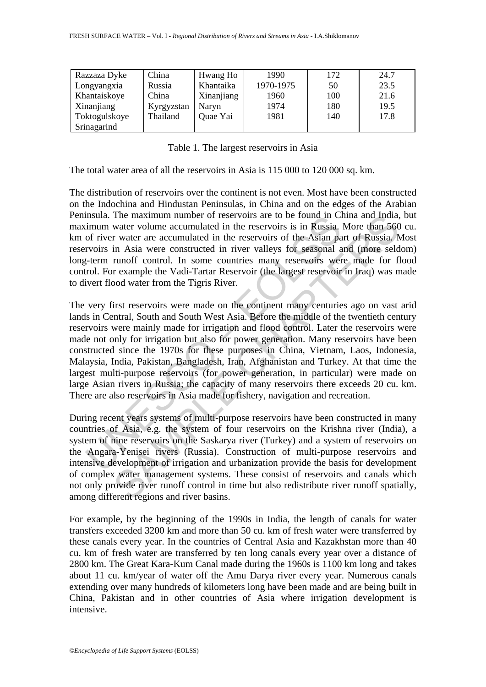| Razzaza Dyke  | China      | Hwang Ho   | 1990      | 172 | 24.7 |
|---------------|------------|------------|-----------|-----|------|
| Longyangxia   | Russia     | Khantaika  | 1970-1975 | 50  | 23.5 |
| Khantaiskoye  | China      | Xinanjiang | 1960      | 100 | 21.6 |
| Xinanjiang    | Kyrgyzstan | Naryn      | 1974      | 180 | 19.5 |
| Toktogulskoye | Thailand   | Quae Yai   | 1981      | 140 | 17.8 |
| Srinagarind   |            |            |           |     |      |

|  | Table 1. The largest reservoirs in Asia |  |  |
|--|-----------------------------------------|--|--|
|  |                                         |  |  |

The total water area of all the reservoirs in Asia is 115 000 to 120 000 sq. km.

The distribution of reservoirs over the continent is not even. Most have been constructed on the Indochina and Hindustan Peninsulas, in China and on the edges of the Arabian Peninsula. The maximum number of reservoirs are to be found in China and India, but maximum water volume accumulated in the reservoirs is in Russia. More than 560 cu. km of river water are accumulated in the reservoirs of the Asian part of Russia. Most reservoirs in Asia were constructed in river valleys for seasonal and (more seldom) long-term runoff control. In some countries many reservoirs were made for flood control. For example the Vadi-Tartar Reservoir (the largest reservoir in Iraq) was made to divert flood water from the Tigris River.

Insula. The maximum number of reservoirs are to be found in Clim<br>
infullimm water volume accumulated in the reservoirs is in Russia.<br>
of river water are accumulated in the reservoirs of the Asian pa<br>
rvoirs in Asia were co The maximum number of reservoirs are to be found in China and India,<br>water volume accumulated in the reservoirs is in Russia. More than 560<br>r water are accumulated in the reservoirs of the Asian, and of Russia.<br>In Asia wer The very first reservoirs were made on the continent many centuries ago on vast arid lands in Central, South and South West Asia. Before the middle of the twentieth century reservoirs were mainly made for irrigation and flood control. Later the reservoirs were made not only for irrigation but also for power generation. Many reservoirs have been constructed since the 1970s for these purposes in China, Vietnam, Laos, Indonesia, Malaysia, India, Pakistan, Bangladesh, Iran, Afghanistan and Turkey. At that time the largest multi-purpose reservoirs (for power generation, in particular) were made on large Asian rivers in Russia; the capacity of many reservoirs there exceeds 20 cu. km. There are also reservoirs in Asia made for fishery, navigation and recreation.

During recent years systems of multi-purpose reservoirs have been constructed in many countries of Asia, e.g. the system of four reservoirs on the Krishna river (India), a system of nine reservoirs on the Saskarya river (Turkey) and a system of reservoirs on the Angara-Yenisei rivers (Russia). Construction of multi-purpose reservoirs and intensive development of irrigation and urbanization provide the basis for development of complex water management systems. These consist of reservoirs and canals which not only provide river runoff control in time but also redistribute river runoff spatially, among different regions and river basins.

For example, by the beginning of the 1990s in India, the length of canals for water transfers exceeded 3200 km and more than 50 cu. km of fresh water were transferred by these canals every year. In the countries of Central Asia and Kazakhstan more than 40 cu. km of fresh water are transferred by ten long canals every year over a distance of 2800 km. The Great Kara-Kum Canal made during the 1960s is 1100 km long and takes about 11 cu. km/year of water off the Amu Darya river every year. Numerous canals extending over many hundreds of kilometers long have been made and are being built in China, Pakistan and in other countries of Asia where irrigation development is intensive.